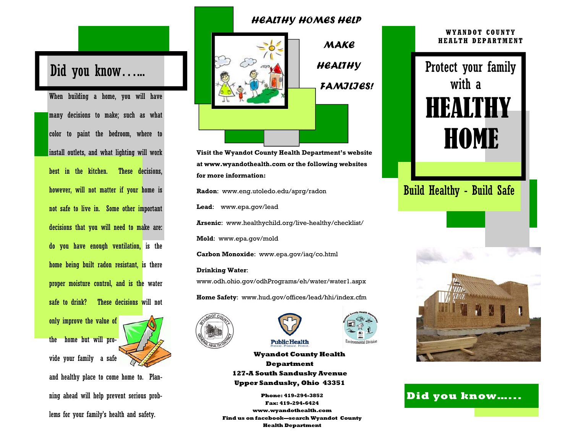# Did you know…...

When building a home, you will have many decisions to make; such as what color to paint the bedroom, where to install outlets, and what lighting will work best in the kitchen. These decisions, however, will not matter if your home is not safe to live in. Some other important decisions that you will need to make are: do you have enough ventilation, is the home being built radon resistant, is there proper moisture control, and is the water safe to drink? These decisions will not only improve the value of

the home but will provide your family a safe and healthy place to come home to. Planning ahead will help prevent serious problems for your family's health and safety.

### *HEALTHY HOMES HELP*



*HEALTHY FAMILIES!* 

*MAKE* 

**Visit the Wyandot County Health Department's website at www.wyandothealth.com or the following websites for more information:** 

**Radon**: www.eng.utoledo.edu/aprg/radon

**Lead**: www.epa.gov/lead

**Arsenic**: www.healthychild.org/live-healthy/checklist/

**Mold**: www.epa.gov/mold

**Carbon Monoxide**: www.epa.gov/iaq/co.html

#### **Drinking Water**:

www.odh.ohio.gov/odhPrograms/eh/water/water1.aspx

**Home Safety**: www.hud.gov/offices/lead/hhi/index.cfm





**Wyandot County Health Department 127-A South Sandusky Avenue Upper Sandusky, Ohio 43351** 

**Public Health** 

**Phone: 419-294-3852 Fax: 419-294-6424 www.wyandothealth.com Find us on facebook—search Wyandot County Health Department**

#### **WYANDOT COUNTY HEALTH DEPARTMENT**

Protect your family with a **HEALTHY HOME** Build Healthy - Build Safe



**Did you know…...**